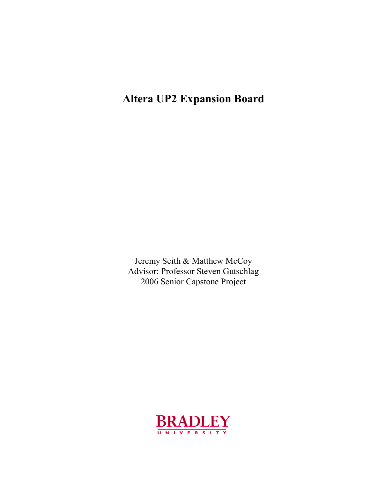# **Altera UP2 Expansion Board**

Jeremy Seith & Matthew McCoy Advisor: Professor Steven Gutschlag 2006 Senior Capstone Project

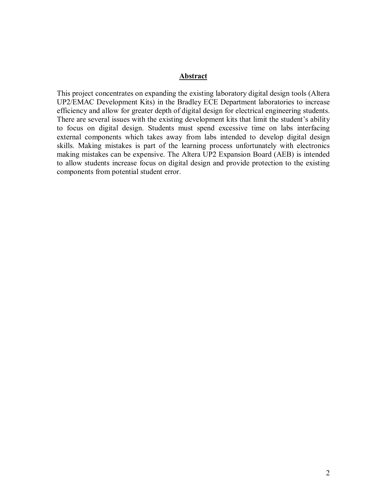#### **Abstract**

This project concentrates on expanding the existing laboratory digital design tools (Altera UP2/EMAC Development Kits) in the Bradley ECE Department laboratories to increase efficiency and allow for greater depth of digital design for electrical engineering students. There are several issues with the existing development kits that limit the student's ability to focus on digital design. Students must spend excessive time on labs interfacing external components which takes away from labs intended to develop digital design skills. Making mistakes is part of the learning process unfortunately with electronics making mistakes can be expensive. The Altera UP2 Expansion Board (AEB) is intended to allow students increase focus on digital design and provide protection to the existing components from potential student error.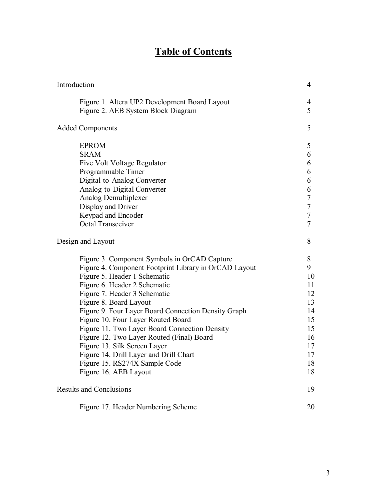# **Table of Contents**

| Introduction                                                                                                                                                                                                                                                                                                                                                                                                                                                                                                                                                   | $\overline{4}$                                                                 |
|----------------------------------------------------------------------------------------------------------------------------------------------------------------------------------------------------------------------------------------------------------------------------------------------------------------------------------------------------------------------------------------------------------------------------------------------------------------------------------------------------------------------------------------------------------------|--------------------------------------------------------------------------------|
| Figure 1. Altera UP2 Development Board Layout<br>Figure 2. AEB System Block Diagram                                                                                                                                                                                                                                                                                                                                                                                                                                                                            | 4<br>5                                                                         |
| <b>Added Components</b>                                                                                                                                                                                                                                                                                                                                                                                                                                                                                                                                        | 5                                                                              |
| <b>EPROM</b><br><b>SRAM</b><br>Five Volt Voltage Regulator<br>Programmable Timer<br>Digital-to-Analog Converter<br>Analog-to-Digital Converter<br>Analog Demultiplexer<br>Display and Driver<br>Keypad and Encoder<br><b>Octal Transceiver</b>                                                                                                                                                                                                                                                                                                                 | 5<br>6<br>6<br>6<br>6<br>6<br>7<br>7<br>7<br>7                                 |
| Design and Layout                                                                                                                                                                                                                                                                                                                                                                                                                                                                                                                                              | 8                                                                              |
| Figure 3. Component Symbols in OrCAD Capture<br>Figure 4. Component Footprint Library in OrCAD Layout<br>Figure 5. Header 1 Schematic<br>Figure 6. Header 2 Schematic<br>Figure 7. Header 3 Schematic<br>Figure 8. Board Layout<br>Figure 9. Four Layer Board Connection Density Graph<br>Figure 10. Four Layer Routed Board<br>Figure 11. Two Layer Board Connection Density<br>Figure 12. Two Layer Routed (Final) Board<br>Figure 13. Silk Screen Layer<br>Figure 14. Drill Layer and Drill Chart<br>Figure 15. RS274X Sample Code<br>Figure 16. AEB Layout | 8<br>9<br>10<br>11<br>12<br>13<br>14<br>15<br>15<br>16<br>17<br>17<br>18<br>18 |
| <b>Results and Conclusions</b>                                                                                                                                                                                                                                                                                                                                                                                                                                                                                                                                 | 19                                                                             |
| Figure 17. Header Numbering Scheme                                                                                                                                                                                                                                                                                                                                                                                                                                                                                                                             | 20                                                                             |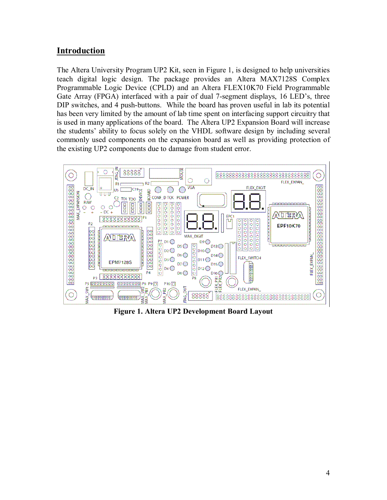## **Introduction**

The Altera University Program UP2 Kit, seen in Figure 1, is designed to help universities teach digital logic design. The package provides an Altera MAX7128S Complex Programmable Logic Device (CPLD) and an Altera FLEX10K70 Field Programmable Gate Array (FPGA) interfaced with a pair of dual 7-segment displays, 16 LED's, three DIP switches, and 4 push-buttons. While the board has proven useful in lab its potential has been very limited by the amount of lab time spent on interfacing support circuitry that is used in many applications of the board. The Altera UP2 Expansion Board will increase the studentsí ability to focus solely on the VHDL software design by including several commonly used components on the expansion board as well as providing protection of the existing UP2 components due to damage from student error.



**Figure 1. Altera UP2 Development Board Layout**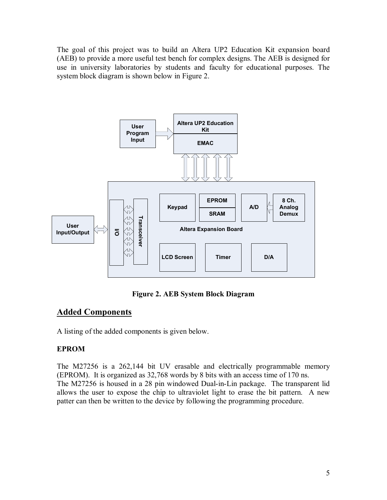The goal of this project was to build an Altera UP2 Education Kit expansion board (AEB) to provide a more useful test bench for complex designs. The AEB is designed for use in university laboratories by students and faculty for educational purposes. The system block diagram is shown below in Figure 2.



**Figure 2. AEB System Block Diagram** 

## **Added Components**

A listing of the added components is given below.

## **EPROM**

The M27256 is a 262,144 bit UV erasable and electrically programmable memory (EPROM). It is organized as 32,768 words by 8 bits with an access time of 170 ns. The M27256 is housed in a 28 pin windowed Dual-in-Lin package. The transparent lid allows the user to expose the chip to ultraviolet light to erase the bit pattern. A new patter can then be written to the device by following the programming procedure.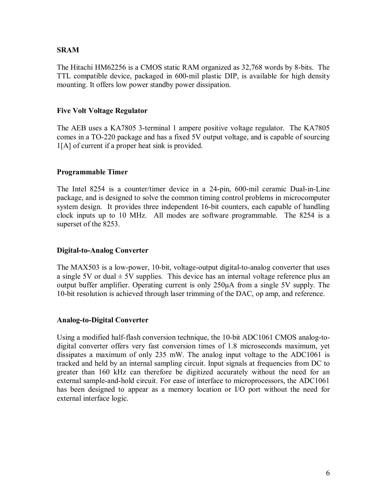#### **SRAM**

The Hitachi HM62256 is a CMOS static RAM organized as 32,768 words by 8-bits. The TTL compatible device, packaged in 600-mil plastic DIP, is available for high density mounting. It offers low power standby power dissipation.

#### **Five Volt Voltage Regulator**

The AEB uses a KA7805 3-terminal 1 ampere positive voltage regulator. The KA7805 comes in a TO-220 package and has a fixed 5V output voltage, and is capable of sourcing 1[A] of current if a proper heat sink is provided.

#### **Programmable Timer**

The Intel 8254 is a counter/timer device in a 24-pin, 600-mil ceramic Dual-in-Line package, and is designed to solve the common timing control problems in microcomputer system design. It provides three independent 16-bit counters, each capable of handling clock inputs up to 10 MHz. All modes are software programmable. The 8254 is a superset of the 8253.

#### **Digital-to-Analog Converter**

The MAX503 is a low-power, 10-bit, voltage-output digital-to-analog converter that uses a single 5V or dual  $\pm$  5V supplies. This device has an internal voltage reference plus an output buffer amplifier. Operating current is only 250µA from a single 5V supply. The 10-bit resolution is achieved through laser trimming of the DAC, op amp, and reference.

#### **Analog-to-Digital Converter**

Using a modified half-flash conversion technique, the 10-bit ADC1061 CMOS analog-todigital converter offers very fast conversion times of 1.8 microseconds maximum, yet dissipates a maximum of only 235 mW. The analog input voltage to the ADC1061 is tracked and held by an internal sampling circuit. Input signals at frequencies from DC to greater than 160 kHz can therefore be digitized accurately without the need for an external sample-and-hold circuit. For ease of interface to microprocessors, the ADC1061 has been designed to appear as a memory location or I/O port without the need for external interface logic.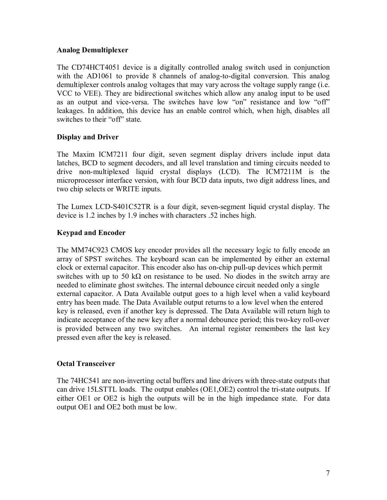#### **Analog Demultiplexer**

The CD74HCT4051 device is a digitally controlled analog switch used in conjunction with the AD1061 to provide 8 channels of analog-to-digital conversion. This analog demultiplexer controls analog voltages that may vary across the voltage supply range (i.e. VCC to VEE). They are bidirectional switches which allow any analog input to be used as an output and vice-versa. The switches have low "on" resistance and low "off" leakages. In addition, this device has an enable control which, when high, disables all switches to their "off" state.

#### **Display and Driver**

The Maxim ICM7211 four digit, seven segment display drivers include input data latches, BCD to segment decoders, and all level translation and timing circuits needed to drive non-multiplexed liquid crystal displays (LCD). The ICM7211M is the microprocessor interface version, with four BCD data inputs, two digit address lines, and two chip selects or WRITE inputs.

The Lumex LCD-S401C52TR is a four digit, seven-segment liquid crystal display. The device is 1.2 inches by 1.9 inches with characters .52 inches high.

#### **Keypad and Encoder**

The MM74C923 CMOS key encoder provides all the necessary logic to fully encode an array of SPST switches. The keyboard scan can be implemented by either an external clock or external capacitor. This encoder also has on-chip pull-up devices which permit switches with up to 50 k $\Omega$  on resistance to be used. No diodes in the switch array are needed to eliminate ghost switches. The internal debounce circuit needed only a single external capacitor. A Data Available output goes to a high level when a valid keyboard entry has been made. The Data Available output returns to a low level when the entered key is released, even if another key is depressed. The Data Available will return high to indicate acceptance of the new key after a normal debounce period; this two-key roll-over is provided between any two switches. An internal register remembers the last key pressed even after the key is released.

#### **Octal Transceiver**

The 74HC541 are non-inverting octal buffers and line drivers with three-state outputs that can drive 15LSTTL loads. The output enables (OE1,OE2) control the tri-state outputs. If either OE1 or OE2 is high the outputs will be in the high impedance state. For data output OE1 and OE2 both must be low.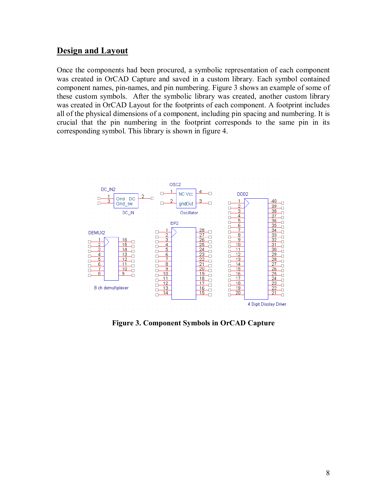## **Design and Layout**

Once the components had been procured, a symbolic representation of each component was created in OrCAD Capture and saved in a custom library. Each symbol contained component names, pin-names, and pin numbering. Figure 3 shows an example of some of these custom symbols. After the symbolic library was created, another custom library was created in OrCAD Layout for the footprints of each component. A footprint includes all of the physical dimensions of a component, including pin spacing and numbering. It is crucial that the pin numbering in the footprint corresponds to the same pin in its corresponding symbol. This library is shown in figure 4.



**Figure 3. Component Symbols in OrCAD Capture**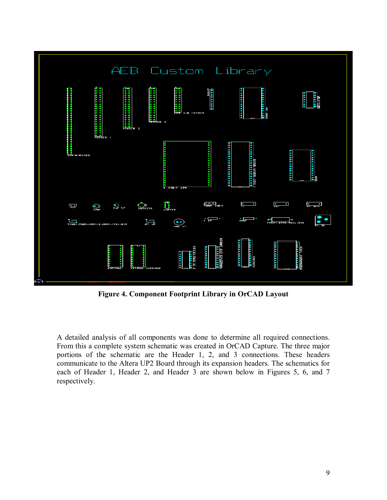

**Figure 4. Component Footprint Library in OrCAD Layout** 

A detailed analysis of all components was done to determine all required connections. From this a complete system schematic was created in OrCAD Capture. The three major portions of the schematic are the Header 1, 2, and 3 connections. These headers communicate to the Altera UP2 Board through its expansion headers. The schematics for each of Header 1, Header 2, and Header 3 are shown below in Figures 5, 6, and 7 respectively.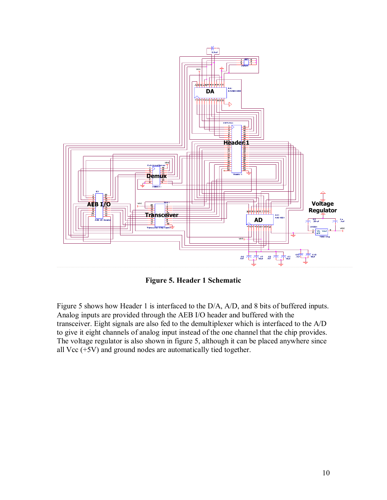

**Figure 5. Header 1 Schematic** 

Figure 5 shows how Header 1 is interfaced to the D/A, A/D, and 8 bits of buffered inputs. Analog inputs are provided through the AEB I/O header and buffered with the transceiver. Eight signals are also fed to the demultiplexer which is interfaced to the A/D to give it eight channels of analog input instead of the one channel that the chip provides. The voltage regulator is also shown in figure 5, although it can be placed anywhere since all Vcc  $(+5V)$  and ground nodes are automatically tied together.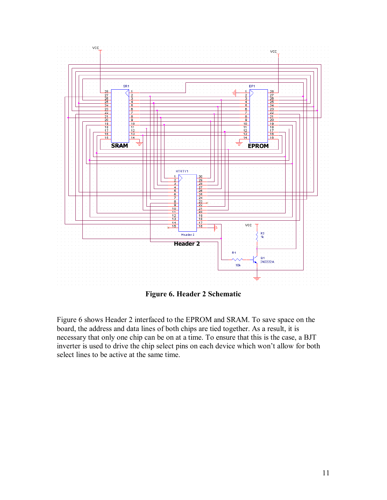

**Figure 6. Header 2 Schematic** 

Figure 6 shows Header 2 interfaced to the EPROM and SRAM. To save space on the board, the address and data lines of both chips are tied together. As a result, it is necessary that only one chip can be on at a time. To ensure that this is the case, a BJT inverter is used to drive the chip select pins on each device which won't allow for both select lines to be active at the same time.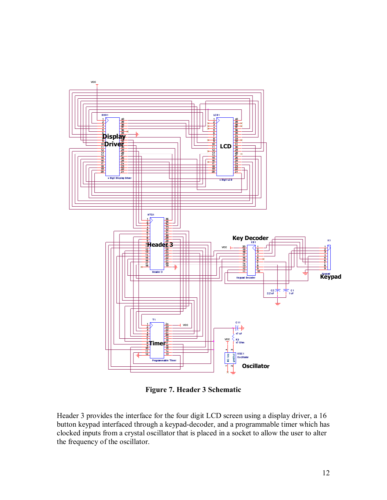

**Figure 7. Header 3 Schematic** 

Header 3 provides the interface for the four digit LCD screen using a display driver, a 16 button keypad interfaced through a keypad-decoder, and a programmable timer which has clocked inputs from a crystal oscillator that is placed in a socket to allow the user to alter the frequency of the oscillator.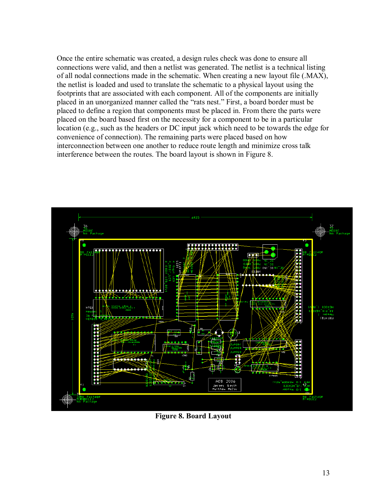Once the entire schematic was created, a design rules check was done to ensure all connections were valid, and then a netlist was generated. The netlist is a technical listing of all nodal connections made in the schematic. When creating a new layout file (.MAX), the netlist is loaded and used to translate the schematic to a physical layout using the footprints that are associated with each component. All of the components are initially placed in an unorganized manner called the "rats nest." First, a board border must be placed to define a region that components must be placed in. From there the parts were placed on the board based first on the necessity for a component to be in a particular location (e.g., such as the headers or DC input jack which need to be towards the edge for convenience of connection). The remaining parts were placed based on how interconnection between one another to reduce route length and minimize cross talk interference between the routes. The board layout is shown in Figure 8.



**Figure 8. Board Layout**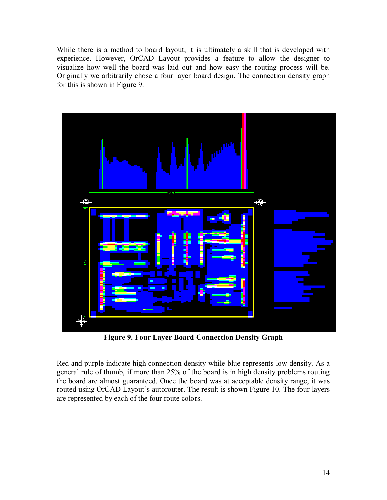While there is a method to board layout, it is ultimately a skill that is developed with experience. However, OrCAD Layout provides a feature to allow the designer to visualize how well the board was laid out and how easy the routing process will be. Originally we arbitrarily chose a four layer board design. The connection density graph for this is shown in Figure 9.



**Figure 9. Four Layer Board Connection Density Graph** 

Red and purple indicate high connection density while blue represents low density. As a general rule of thumb, if more than 25% of the board is in high density problems routing the board are almost guaranteed. Once the board was at acceptable density range, it was routed using OrCAD Layout's autorouter. The result is shown Figure 10. The four layers are represented by each of the four route colors.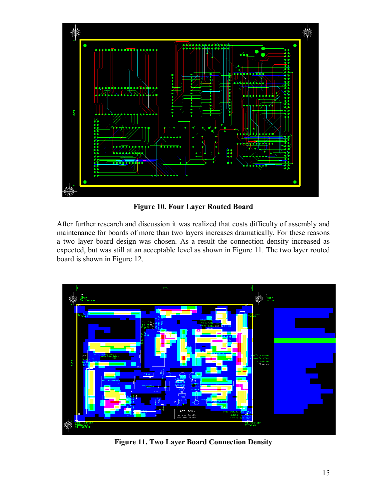

**Figure 10. Four Layer Routed Board** 

After further research and discussion it was realized that costs difficulty of assembly and maintenance for boards of more than two layers increases dramatically. For these reasons a two layer board design was chosen. As a result the connection density increased as expected, but was still at an acceptable level as shown in Figure 11. The two layer routed board is shown in Figure 12.



**Figure 11. Two Layer Board Connection Density**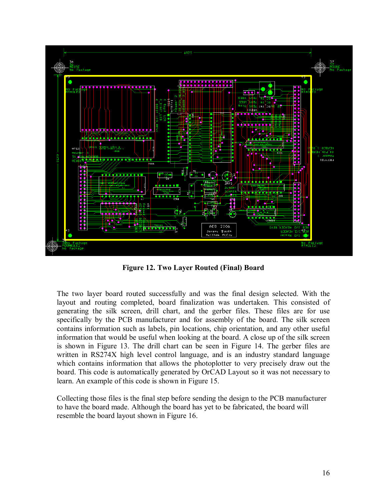

**Figure 12. Two Layer Routed (Final) Board** 

The two layer board routed successfully and was the final design selected. With the layout and routing completed, board finalization was undertaken. This consisted of generating the silk screen, drill chart, and the gerber files. These files are for use specifically by the PCB manufacturer and for assembly of the board. The silk screen contains information such as labels, pin locations, chip orientation, and any other useful information that would be useful when looking at the board. A close up of the silk screen is shown in Figure 13. The drill chart can be seen in Figure 14. The gerber files are written in RS274X high level control language, and is an industry standard language which contains information that allows the photoplotter to very precisely draw out the board. This code is automatically generated by OrCAD Layout so it was not necessary to learn. An example of this code is shown in Figure 15.

Collecting those files is the final step before sending the design to the PCB manufacturer to have the board made. Although the board has yet to be fabricated, the board will resemble the board layout shown in Figure 16.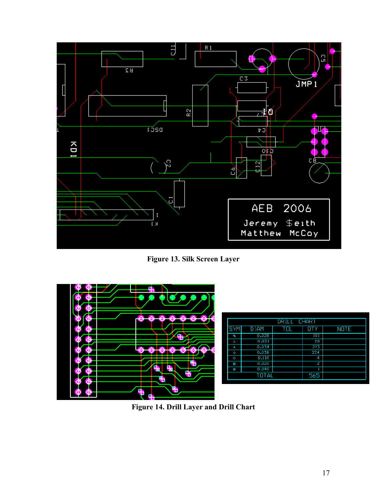

**Figure 13. Silk Screen Layer** 



| DRILL CHART |                   |     |            |             |
|-------------|-------------------|-----|------------|-------------|
| <b>SYM</b>  | D <sub>J</sub> AM | TOL | <b>QTY</b> | <b>NOTE</b> |
| Գ           | 0.028             |     | 101        |             |
| ×           | 0.031             |     | 20         |             |
| +           | 0.034             |     | 213        |             |
| ♦           | 0.038             |     | 224        |             |
| O           | 0.110             |     | 4          |             |
| ø           | 0.120             |     | 2          |             |
| æ           | 0.140             |     |            |             |
|             | TOTAL             |     | 565        |             |

**Figure 14. Drill Layer and Drill Chart**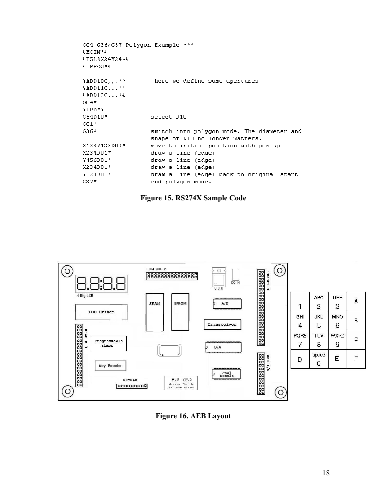| GO4 G36/G37 Polygon Example *** |                                            |
|---------------------------------|--------------------------------------------|
| %MOIN*%                         |                                            |
| $$FSLAX24Y24*$                  |                                            |
| $$IPPOS*$                       |                                            |
|                                 | here we define some apertures              |
| $*$ ADD11C $*$                  |                                            |
| $*$ ADD12C **                   |                                            |
| $G04*$                          |                                            |
| %LPD*%                          |                                            |
| G54D10*                         | select D10                                 |
| $G01*$                          |                                            |
| G36*                            | switch into polygon mode. The diameter and |
|                                 | shape of D10 no longer matters.            |
| X123Y123D02*                    | move to initial position with pen up       |
| X234D01*                        | draw a line (edge)                         |
| Y456D01*                        | draw a line (edge)                         |
| X234D01*                        | draw a line (edge)                         |
| Y123D01*                        | draw a line (edge) back to original start  |
| $G37*$                          | end polygon mode.                          |
|                                 |                                            |





**Figure 16. AEB Layout**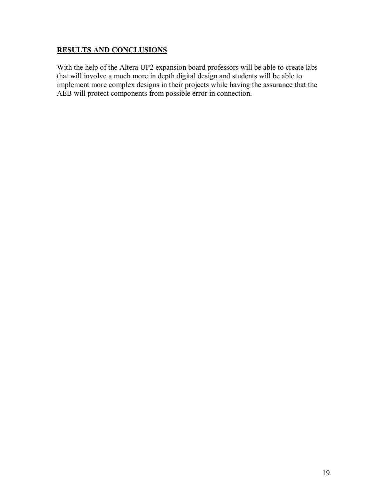### **RESULTS AND CONCLUSIONS**

With the help of the Altera UP2 expansion board professors will be able to create labs that will involve a much more in depth digital design and students will be able to implement more complex designs in their projects while having the assurance that the AEB will protect components from possible error in connection.